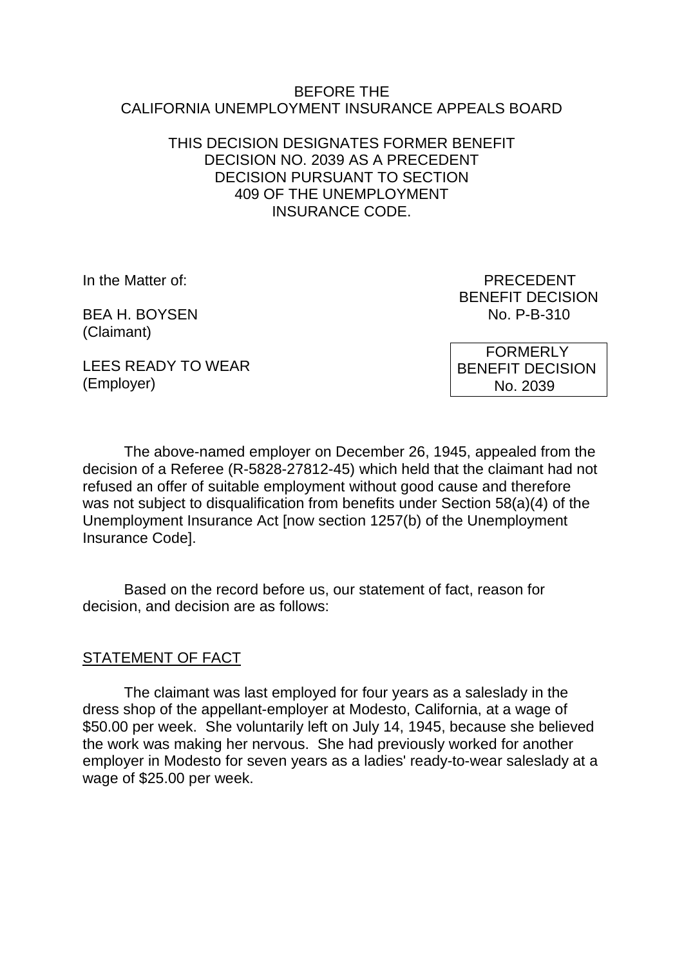#### BEFORE THE CALIFORNIA UNEMPLOYMENT INSURANCE APPEALS BOARD

#### THIS DECISION DESIGNATES FORMER BENEFIT DECISION NO. 2039 AS A PRECEDENT DECISION PURSUANT TO SECTION 409 OF THE UNEMPLOYMENT INSURANCE CODE.

BEA H. BOYSEN No. P-B-310 (Claimant)

In the Matter of: PRECEDENT BENEFIT DECISION

LEES READY TO WEAR (Employer)

 FORMERLY BENEFIT DECISION No. 2039

The above-named employer on December 26, 1945, appealed from the decision of a Referee (R-5828-27812-45) which held that the claimant had not refused an offer of suitable employment without good cause and therefore was not subject to disqualification from benefits under Section 58(a)(4) of the Unemployment Insurance Act [now section 1257(b) of the Unemployment Insurance Code].

Based on the record before us, our statement of fact, reason for decision, and decision are as follows:

# STATEMENT OF FACT

The claimant was last employed for four years as a saleslady in the dress shop of the appellant-employer at Modesto, California, at a wage of \$50.00 per week. She voluntarily left on July 14, 1945, because she believed the work was making her nervous. She had previously worked for another employer in Modesto for seven years as a ladies' ready-to-wear saleslady at a wage of \$25.00 per week.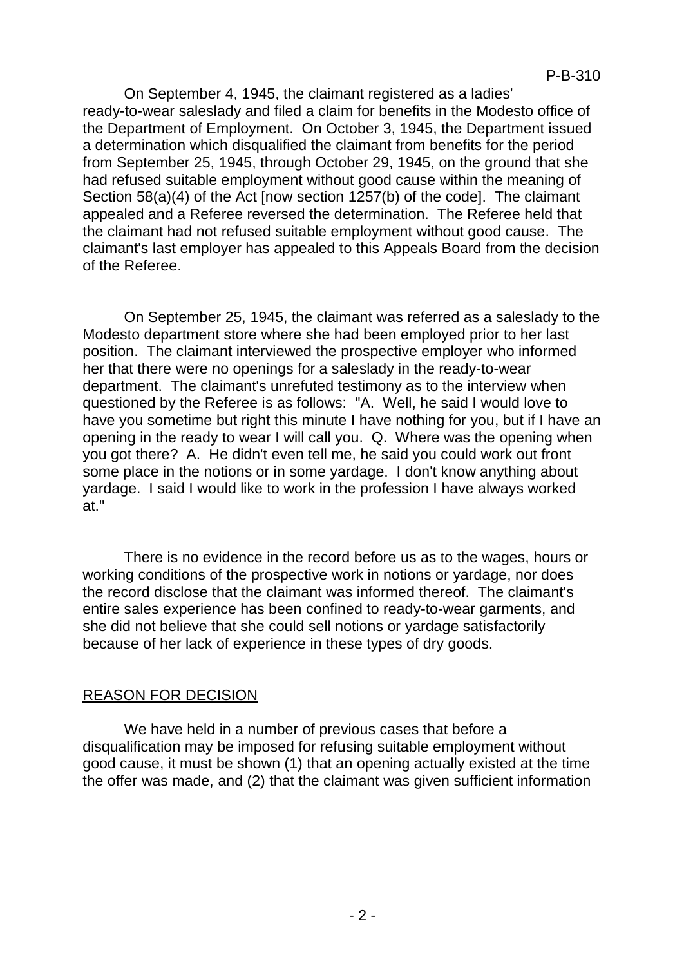On September 4, 1945, the claimant registered as a ladies' ready-to-wear saleslady and filed a claim for benefits in the Modesto office of the Department of Employment. On October 3, 1945, the Department issued a determination which disqualified the claimant from benefits for the period from September 25, 1945, through October 29, 1945, on the ground that she had refused suitable employment without good cause within the meaning of Section 58(a)(4) of the Act [now section 1257(b) of the code]. The claimant appealed and a Referee reversed the determination. The Referee held that the claimant had not refused suitable employment without good cause. The claimant's last employer has appealed to this Appeals Board from the decision of the Referee.

On September 25, 1945, the claimant was referred as a saleslady to the Modesto department store where she had been employed prior to her last position. The claimant interviewed the prospective employer who informed her that there were no openings for a saleslady in the ready-to-wear department. The claimant's unrefuted testimony as to the interview when questioned by the Referee is as follows: "A. Well, he said I would love to have you sometime but right this minute I have nothing for you, but if I have an opening in the ready to wear I will call you. Q. Where was the opening when you got there? A. He didn't even tell me, he said you could work out front some place in the notions or in some yardage. I don't know anything about yardage. I said I would like to work in the profession I have always worked at."

There is no evidence in the record before us as to the wages, hours or working conditions of the prospective work in notions or yardage, nor does the record disclose that the claimant was informed thereof. The claimant's entire sales experience has been confined to ready-to-wear garments, and she did not believe that she could sell notions or yardage satisfactorily because of her lack of experience in these types of dry goods.

# REASON FOR DECISION

We have held in a number of previous cases that before a disqualification may be imposed for refusing suitable employment without good cause, it must be shown (1) that an opening actually existed at the time the offer was made, and (2) that the claimant was given sufficient information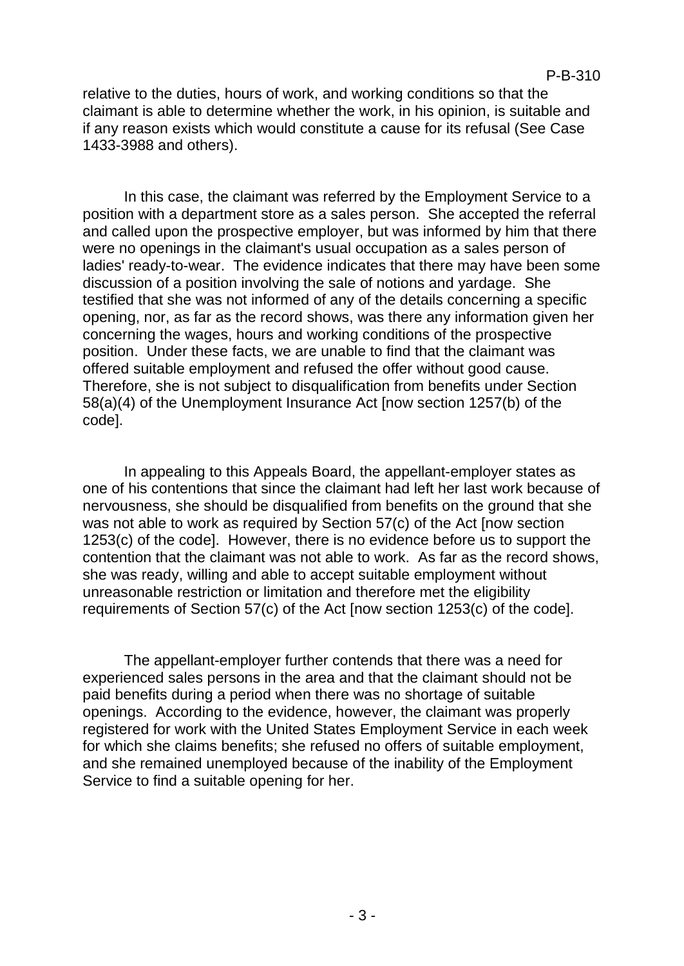relative to the duties, hours of work, and working conditions so that the claimant is able to determine whether the work, in his opinion, is suitable and if any reason exists which would constitute a cause for its refusal (See Case 1433-3988 and others).

In this case, the claimant was referred by the Employment Service to a position with a department store as a sales person. She accepted the referral and called upon the prospective employer, but was informed by him that there were no openings in the claimant's usual occupation as a sales person of ladies' ready-to-wear. The evidence indicates that there may have been some discussion of a position involving the sale of notions and yardage. She testified that she was not informed of any of the details concerning a specific opening, nor, as far as the record shows, was there any information given her concerning the wages, hours and working conditions of the prospective position. Under these facts, we are unable to find that the claimant was offered suitable employment and refused the offer without good cause. Therefore, she is not subject to disqualification from benefits under Section 58(a)(4) of the Unemployment Insurance Act [now section 1257(b) of the code].

In appealing to this Appeals Board, the appellant-employer states as one of his contentions that since the claimant had left her last work because of nervousness, she should be disqualified from benefits on the ground that she was not able to work as required by Section 57(c) of the Act [now section 1253(c) of the code]. However, there is no evidence before us to support the contention that the claimant was not able to work. As far as the record shows, she was ready, willing and able to accept suitable employment without unreasonable restriction or limitation and therefore met the eligibility requirements of Section 57(c) of the Act [now section 1253(c) of the code].

The appellant-employer further contends that there was a need for experienced sales persons in the area and that the claimant should not be paid benefits during a period when there was no shortage of suitable openings. According to the evidence, however, the claimant was properly registered for work with the United States Employment Service in each week for which she claims benefits; she refused no offers of suitable employment, and she remained unemployed because of the inability of the Employment Service to find a suitable opening for her.